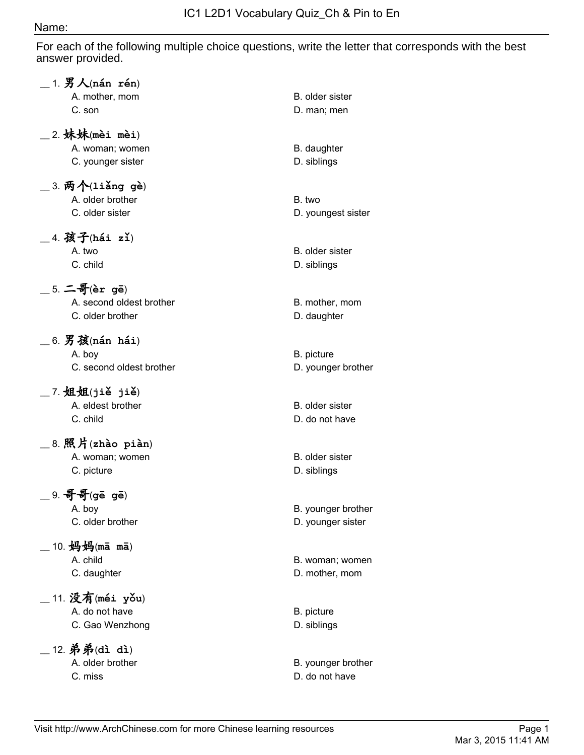## Name:

For each of the following multiple choice questions, write the letter that corresponds with the best answer provided.

| $\_$ 1. $\cancel{B}$ $\bigwedge$ (nán rén)                         |                                         |
|--------------------------------------------------------------------|-----------------------------------------|
| A. mother, mom<br>C. son                                           | B. older sister<br>D. man; men          |
| _2.妹妹(mèi mèi)<br>A. woman; women<br>C. younger sister             | B. daughter<br>D. siblings              |
| $\_$ 3. 两个 $($ liǎng gè $)$<br>A. older brother<br>C. older sister | B. two<br>D. youngest sister            |
| $\_$ 4. 孩子(hái zǐ)<br>A. two<br>C. child                           | B. older sister<br>D. siblings          |
| $\_$ 5. 二哥(èr gē)<br>A. second oldest brother<br>C. older brother  | B. mother, mom<br>D. daughter           |
| $\_$ 6. 男孩(nán hái)<br>A. boy<br>C. second oldest brother          | B. picture<br>D. younger brother        |
| $\_$ 7. 姐姐(jiě jiě)<br>A. eldest brother<br>C. child               | B. older sister<br>D. do not have       |
| $\_$ 8. 照片(zhào piàn)<br>A. woman; women<br>C. picture             | B. older sister<br>D. siblings          |
| $9.$ 哥哥(gē gē)<br>A. boy<br>C. older brother                       | B. younger brother<br>D. younger sister |
| 10. 妈妈(mā mā)<br>A. child<br>C. daughter                           | B. woman; women<br>D. mother, mom       |
| 11. 没有(méi yǒu)<br>A. do not have<br>C. Gao Wenzhong               | B. picture<br>D. siblings               |
| 12. 弟弟(dì dì)<br>A. older brother<br>C. miss                       | B. younger brother<br>D. do not have    |
|                                                                    |                                         |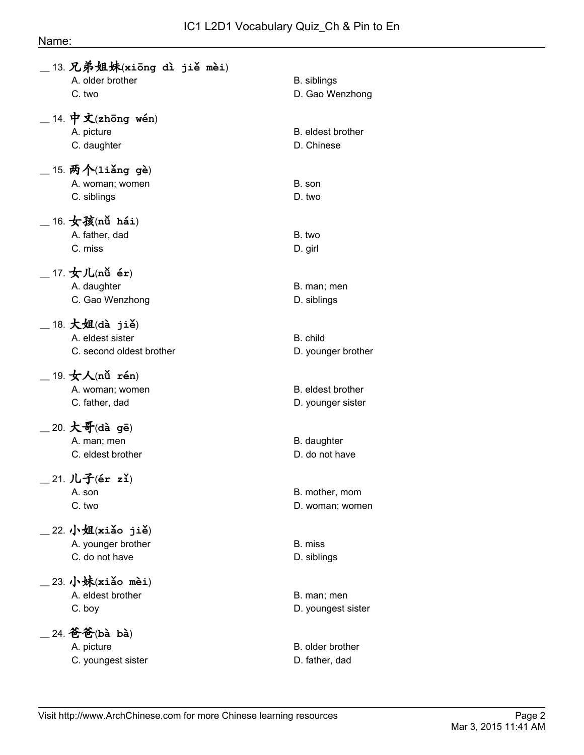## IC1 L2D1 Vocabulary Quiz\_Ch & Pin to En

#### Name:

| 13. 兄弟姐妹(xiong dì jiě mèi)<br>A. older brother<br>C. two                                                   | <b>B.</b> siblings<br>D. Gao Wenzhong  |
|------------------------------------------------------------------------------------------------------------|----------------------------------------|
| 14. 中文 $(zh\bar{o}ng$ wén)<br>A. picture<br>C. daughter                                                    | B. eldest brother<br>D. Chinese        |
| 15. 两个(liǎng gè)<br>A. woman; women<br>C. siblings                                                         | B. son<br>D. two                       |
| 16. 女孩(nǚ hái)<br>A. father, dad<br>C. miss                                                                | B. two<br>D. girl                      |
| 17. $\bigstar$ 儿(nǚ ér)<br>A. daughter<br>C. Gao Wenzhong                                                  | B. man; men<br>D. siblings             |
| $18. \n\pm 34$ $(d\mathbf{\hat{a}})$ $(i\mathbf{\hat{e}})$<br>A. eldest sister<br>C. second oldest brother | B. child<br>D. younger brother         |
| 19. $\star \wedge$ (nǚ rén)<br>A. woman; women<br>C. father, dad                                           | B. eldest brother<br>D. younger sister |
| 20. 大哥(dà gē)<br>A. man; men<br>C. eldest brother                                                          | B. daughter<br>D. do not have          |
| $21.$ 儿子(ér zǐ)<br>A. son<br>C. two                                                                        | B. mother, mom<br>D. woman; women      |
| 22. 小姐 $(xi\delta$ o jiě)<br>A. younger brother<br>C. do not have                                          | B. miss<br>D. siblings                 |
| 23. 小妹 $(xi\delta$ o mèi)<br>A. eldest brother<br>C. boy                                                   | B. man; men<br>D. youngest sister      |
| 24. 爸爸(bà bà)<br>A. picture<br>C. youngest sister                                                          | B. older brother<br>D. father, dad     |